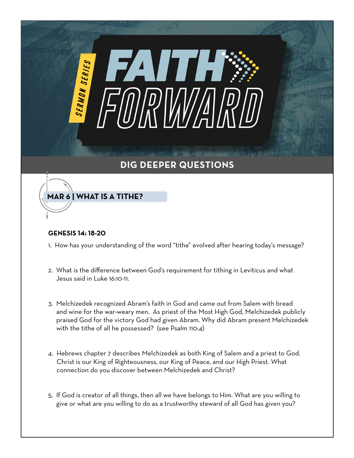

**MAR 6 | WHAT IS A TITHE?**

### **GENESIS 14: 18-20**

1. How has your understanding of the word "tithe" evolved after hearing today's message?

- 2. What is the difference between God's requirement for tithing in Leviticus and what Jesus said in Luke 16:10-11.
- 3. Melchizedek recognized Abram's faith in God and came out from Salem with bread and wine for the war-weary men. As priest of the Most High God, Melchizedek publicly praised God for the victory God had given Abram. Why did Abram present Melchizedek with the tithe of all he possessed? (see Psalm 110:4)
- 4. Hebrews chapter 7 describes Melchizedek as both King of Salem and a priest to God. Christ is our King of Righteousness, our King of Peace, and our High Priest. What connection do you discover between Melchizedek and Christ?
- 5. If God is creator of all things, then all we have belongs to Him. What are you willing to give or what are you willing to do as a trustworthy steward of all God has given you?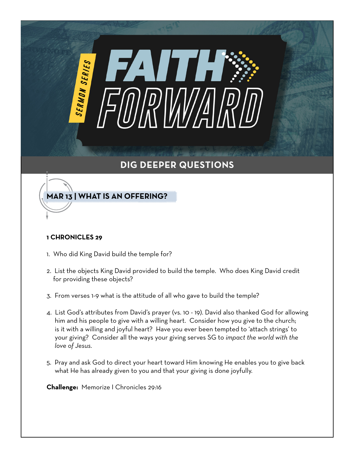

### **MAR 13 | WHAT IS AN OFFERING?**

### **1 CHRONICLES 29**

- 1. Who did King David build the temple for?
- 2. List the objects King David provided to build the temple. Who does King David credit for providing these objects?
- 3. From verses 1-9 what is the attitude of all who gave to build the temple?
- 4. List God's attributes from David's prayer (vs. 10 19). David also thanked God for allowing him and his people to give with a willing heart. Consider how you give to the church; is it with a willing and joyful heart? Have you ever been tempted to 'attach strings' to your giving? Consider all the ways your giving serves SG to *impact the world with the love of Jesus.*
- 5. Pray and ask God to direct your heart toward Him knowing He enables you to give back what He has already given to you and that your giving is done joyfully.

**Challenge:** Memorize I Chronicles 29:16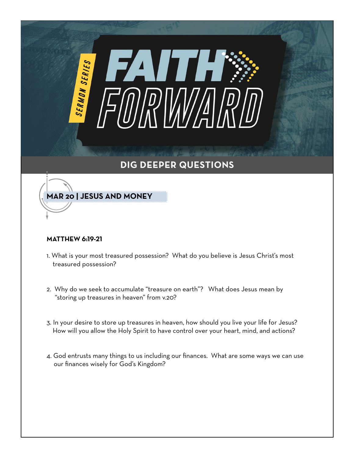



#### **MATTHEW 6:19-21**

- 1. What is your most treasured possession? What do you believe is Jesus Christ's most treasured possession?
- 2. Why do we seek to accumulate "treasure on earth"? What does Jesus mean by "storing up treasures in heaven" from v.20?
- 3. In your desire to store up treasures in heaven, how should you live your life for Jesus? How will you allow the Holy Spirit to have control over your heart, mind, and actions?
- 4. God entrusts many things to us including our finances. What are some ways we can use our finances wisely for God's Kingdom?